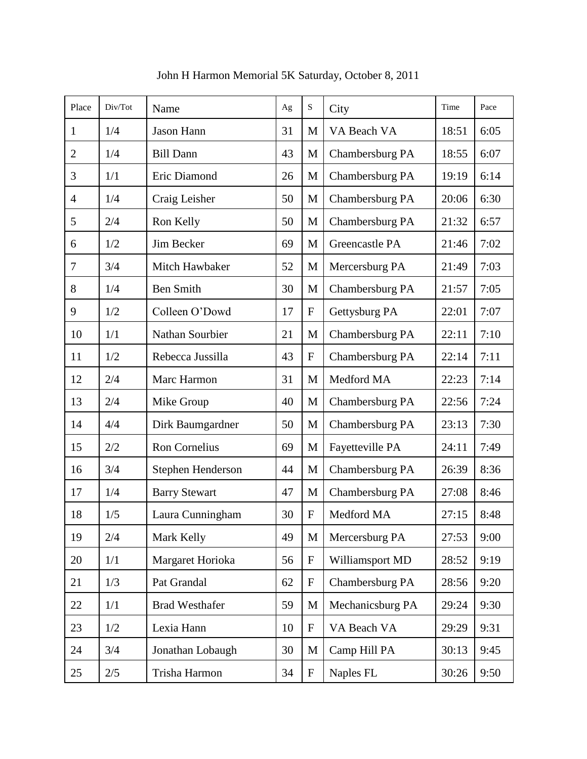| Place          | Div/Tot | Name                  | Ag | $\mathbf S$ | City             | Time  | Pace |
|----------------|---------|-----------------------|----|-------------|------------------|-------|------|
| $\mathbf{1}$   | 1/4     | Jason Hann            | 31 | M           | VA Beach VA      | 18:51 | 6:05 |
| $\overline{2}$ | 1/4     | <b>Bill Dann</b>      | 43 | M           | Chambersburg PA  | 18:55 | 6:07 |
| 3              | 1/1     | Eric Diamond          | 26 | $\mathbf M$ | Chambersburg PA  | 19:19 | 6:14 |
| $\overline{4}$ | 1/4     | Craig Leisher         | 50 | $\mathbf M$ | Chambersburg PA  | 20:06 | 6:30 |
| 5              | 2/4     | Ron Kelly             | 50 | M           | Chambersburg PA  | 21:32 | 6:57 |
| 6              | 1/2     | Jim Becker            | 69 | M           | Greencastle PA   | 21:46 | 7:02 |
| $\tau$         | 3/4     | Mitch Hawbaker        | 52 | M           | Mercersburg PA   | 21:49 | 7:03 |
| 8              | 1/4     | <b>Ben Smith</b>      | 30 | M           | Chambersburg PA  | 21:57 | 7:05 |
| 9              | 1/2     | Colleen O'Dowd        | 17 | ${\bf F}$   | Gettysburg PA    | 22:01 | 7:07 |
| 10             | 1/1     | Nathan Sourbier       | 21 | M           | Chambersburg PA  | 22:11 | 7:10 |
| 11             | 1/2     | Rebecca Jussilla      | 43 | ${\bf F}$   | Chambersburg PA  | 22:14 | 7:11 |
| 12             | 2/4     | Marc Harmon           | 31 | M           | Medford MA       | 22:23 | 7:14 |
| 13             | 2/4     | Mike Group            | 40 | M           | Chambersburg PA  | 22:56 | 7:24 |
| 14             | 4/4     | Dirk Baumgardner      | 50 | M           | Chambersburg PA  | 23:13 | 7:30 |
| 15             | 2/2     | Ron Cornelius         | 69 | M           | Fayetteville PA  | 24:11 | 7:49 |
| 16             | 3/4     | Stephen Henderson     | 44 | M           | Chambersburg PA  | 26:39 | 8:36 |
| 17             | 1/4     | <b>Barry Stewart</b>  | 47 | M           | Chambersburg PA  | 27:08 | 8:46 |
| 18             | 1/5     | Laura Cunningham      | 30 | ${\bf F}$   | Medford MA       | 27:15 | 8:48 |
| 19             | 2/4     | Mark Kelly            | 49 | M           | Mercersburg PA   | 27:53 | 9:00 |
| 20             | 1/1     | Margaret Horioka      | 56 | $\mathbf F$ | Williamsport MD  | 28:52 | 9:19 |
| 21             | 1/3     | Pat Grandal           | 62 | ${\bf F}$   | Chambersburg PA  | 28:56 | 9:20 |
| 22             | 1/1     | <b>Brad Westhafer</b> | 59 | M           | Mechanicsburg PA | 29:24 | 9:30 |
| 23             | 1/2     | Lexia Hann            | 10 | ${\bf F}$   | VA Beach VA      | 29:29 | 9:31 |
| 24             | 3/4     | Jonathan Lobaugh      | 30 | M           | Camp Hill PA     | 30:13 | 9:45 |
| 25             | 2/5     | Trisha Harmon         | 34 | ${\bf F}$   | Naples FL        | 30:26 | 9:50 |

John H Harmon Memorial 5K Saturday, October 8, 2011